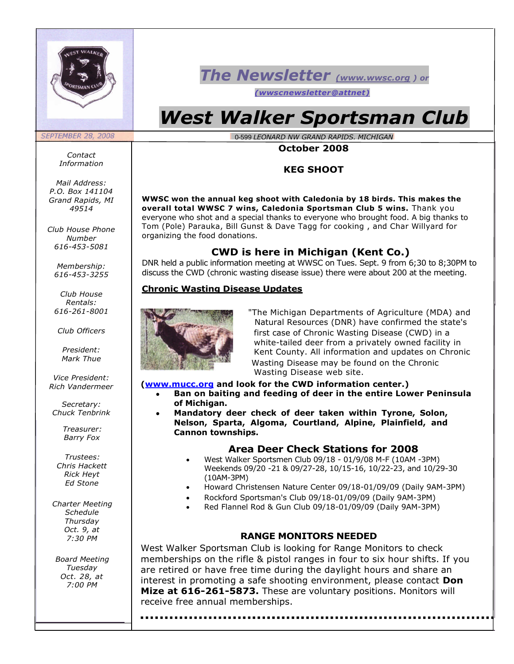

# *The Newsletter (www.wwsc.org ) or*

*(wwscnewsletter@attnet)*

# *West Walker Sportsman Club*

\_0-599 *LEONARD NW GRAND RAPIDS, MICHIGAN*

#### **October 2008**

#### **KEG SHOOT**

**WWSC won the annual keg shoot with Caledonia by 18 birds. This makes the overall total WWSC 7 wins, Caledonia Sportsman Club 5 wins.** Thank you everyone who shot and a special thanks to everyone who brought food. A big thanks to Tom (Pole) Parauka, Bill Gunst & Dave Tagg for cooking , and Char Willyard for organizing the food donations.

#### **CWD is here in Michigan (Kent Co.)**

DNR held a public information meeting at WWSC on Tues. Sept. 9 from 6;30 to 8;30PM to discuss the CWD (chronic wasting disease issue) there were about 200 at the meeting.

#### **Chronic Wasting Disease Updates**



"The Michigan Departments of Agriculture (MDA) and Natural Resources (DNR) have confirmed the state's first case of Chronic Wasting Disease (CWD) in a white-tailed deer from a privately owned facility in Kent County. All information and updates on Chronic Wasting Disease may be found on the Chronic Wasting Disease web site.

#### **([www.mucc.org](http://www.mucc.org/) and look for the CWD information center.)**

 **Ban on baiting and feeding of deer in the entire Lower Peninsula of Michigan.**

 **Mandatory deer check of deer taken within Tyrone, Solon, Nelson, Sparta, Algoma, Courtland, Alpine, Plainfield, and Cannon townships.**

#### **Area Deer Check Stations for 2008**

- West Walker Sportsmen Club 09/18 01/9/08 M-F (10AM -3PM) Weekends 09/20 -21 & 09/27-28, 10/15-16, 10/22-23, and 10/29-30 (10AM-3PM)
- Howard Christensen Nature Center 09/18-01/09/09 (Daily 9AM-3PM)
- Rockford Sportsman's Club 09/18-01/09/09 (Daily 9AM-3PM)
- Red Flannel Rod & Gun Club 09/18-01/09/09 (Daily 9AM-3PM)

#### **RANGE MONITORS NEEDED**

West Walker Sportsman Club is looking for Range Monitors to check memberships on the rifle & pistol ranges in four to six hour shifts. If you are retired or have free time during the daylight hours and share an interest in promoting a safe shooting environment, please contact **Don Mize at 616-261-5873.** These are voluntary positions. Monitors will receive free annual memberships.

*Contact Information*

**SEPTEMBER 28, 2008** 

*Mail Address: P.O. Box 141104 Grand Rapids, MI 49514*

*Club House Phone Number 616-453-5081*

> *Membership: 616-453-3255*

> *Club House Rentals: 616-261-8001*

*Club Officers*

*President: Mark Thue*

*Vice President: Rich Vandermeer*

*Secretary: Chuck Tenbrink*

> *Treasurer: Barry Fox*

*Trustees: Chris Hackett Rick Heyt Ed Stone*

*Charter Meeting Schedule Thursday Oct. 9, at 7:30 PM*

*Board Meeting Tuesday Oct. 28, at 7:00 PM*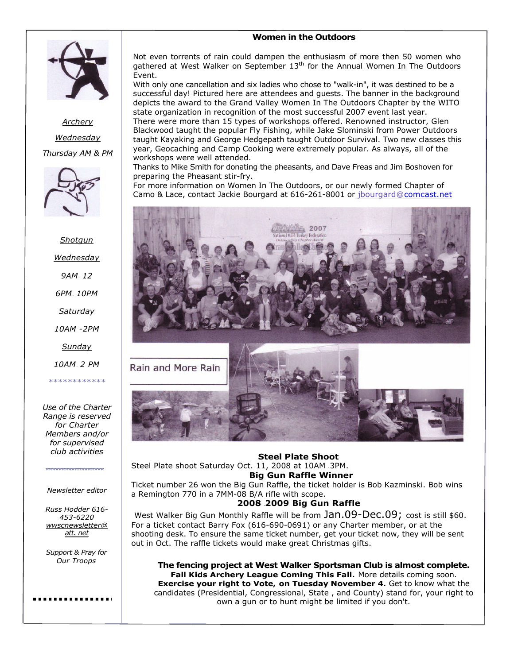#### **Women in the Outdoors**



*Archery Wednesday Thursday AM & PM*



*Shotgun Wednesday 9AM- 12 6PM- 10PM Saturday*

*10AM -2PM*

*Sunday*

*10AM- 2 PM*

*\*\*\*\*\*\*\*\*\*\*\*\**

*Use of the Charter Range is reserved for Charter Members and/or for supervised club activities*

\*\*\*\*\*\*\*\*\*\*\*\*\*\*\*\*\*\*\*\*

*Newsletter editor*

*Russ Hodder 616- 453-6220 wwscnewsletter@ [att. net](http://att.net/)*

*Support & Pray for Our Troops*

Not even torrents of rain could dampen the enthusiasm of more then 50 women who gathered at West Walker on September 13<sup>th</sup> for the Annual Women In The Outdoors Event.

With only one cancellation and six ladies who chose to "walk-in", it was destined to be a successful day! Pictured here are attendees and guests. The banner in the background depicts the award to the Grand Valley Women In The Outdoors Chapter by the WITO state organization in recognition of the most successful 2007 event last year.

There were more than 15 types of workshops offered. Renowned instructor, Glen Blackwood taught the popular Fly Fishing, while Jake Slominski from Power Outdoors taught Kayaking and George Hedgepath taught Outdoor Survival. Two new classes this year, Geocaching and Camp Cooking were extremely popular. As always, all of the workshops were well attended.

Thanks to Mike Smith for donating the pheasants, and Dave Freas and Jim Boshoven for preparing the Pheasant stir-fry.

For more information on Women In The Outdoors, or our newly formed Chapter of Camo & Lace, contact Jackie Bourgard at 616-261-8001 or jbourgard@[comcast.net](http://comcast.net/)



**Steel Plate Shoot**

**Big Gun Raffle Winner** Ticket number 26 won the Big Gun Raffle, the ticket holder is Bob Kazminski. Bob wins

**2008 -2009 Big Gun Raffle**

Steel Plate shoot Saturday Oct. 11, 2008 at 10AM -3PM.

out in Oct. The raffle tickets would make great Christmas gifts.

Rain and More Rain

a Remington 770 in a 7MM-08 B/A rifle with scope. West Walker Big Gun Monthly Raffle will be from  $Jan.09$ -Dec.09; cost is still \$60. For a ticket contact Barry Fox (616-690-0691) or any Charter member, or at the shooting desk. To ensure the same ticket number, get your ticket now, they will be sent

> **The fencing project at West Walker Sportsman Club is almost complete. Fall Kids Archery League Coming This Fall.** More details coming soon. **Exercise your right to Vote, on Tuesday November 4.** Get to know what the candidates (Presidential, Congressional, State , and County) stand for, your right to own a gun or to hunt might be limited if you don't.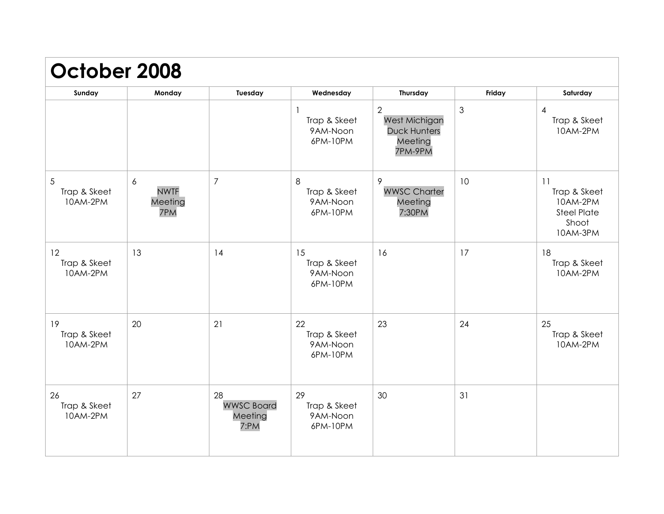| October 2008                   |                                    |                                            |                                            |                                                                 |                |                                                                           |
|--------------------------------|------------------------------------|--------------------------------------------|--------------------------------------------|-----------------------------------------------------------------|----------------|---------------------------------------------------------------------------|
| Sunday                         | Monday                             | Tuesday                                    | Wednesday                                  | <b>Thursday</b>                                                 | Friday         | Saturday                                                                  |
|                                |                                    |                                            | Trap & Skeet<br>9AM-Noon<br>6PM-10PM       | 2<br>West Michigan<br><b>Duck Hunters</b><br>Meeting<br>7PM-9PM | $\mathfrak{S}$ | $\overline{4}$<br>Trap & Skeet<br>10AM-2PM                                |
| 5<br>Trap & Skeet<br>10AM-2PM  | 6<br><b>NWTF</b><br>Meeting<br>7PM | $\overline{7}$                             | 8<br>Trap & Skeet<br>9AM-Noon<br>6PM-10PM  | 9<br><b>WWSC Charter</b><br>Meeting<br>7:30PM                   | 10             | 11<br>Trap & Skeet<br>10AM-2PM<br><b>Steel Plate</b><br>Shoot<br>10AM-3PM |
| 12<br>Trap & Skeet<br>10AM-2PM | 13                                 | 14                                         | 15<br>Trap & Skeet<br>9AM-Noon<br>6PM-10PM | 16                                                              | 17             | 18<br>Trap & Skeet<br>10AM-2PM                                            |
| 19<br>Trap & Skeet<br>10AM-2PM | 20                                 | 21                                         | 22<br>Trap & Skeet<br>9AM-Noon<br>6PM-10PM | 23                                                              | 24             | 25<br>Trap & Skeet<br>10AM-2PM                                            |
| 26<br>Trap & Skeet<br>10AM-2PM | 27                                 | 28<br><b>WWSC Board</b><br>Meeting<br>7:PM | 29<br>Trap & Skeet<br>9AM-Noon<br>6PM-10PM | 30                                                              | 31             |                                                                           |